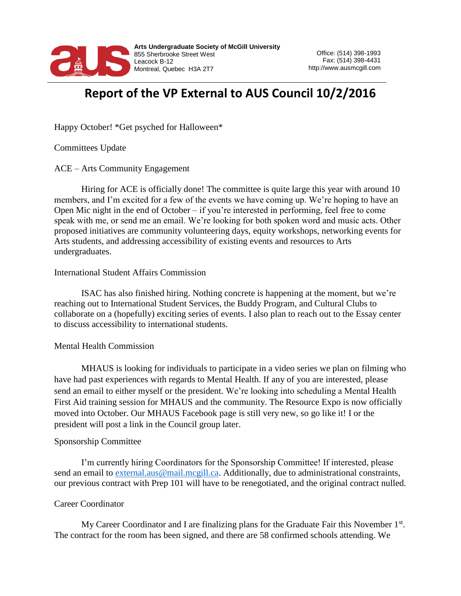

# **Report of the VP External to AUS Council 10/2/2016**

Happy October! \*Get psyched for Halloween\*

Committees Update

ACE – Arts Community Engagement

Hiring for ACE is officially done! The committee is quite large this year with around 10 members, and I'm excited for a few of the events we have coming up. We're hoping to have an Open Mic night in the end of October – if you're interested in performing, feel free to come speak with me, or send me an email. We're looking for both spoken word and music acts. Other proposed initiatives are community volunteering days, equity workshops, networking events for Arts students, and addressing accessibility of existing events and resources to Arts undergraduates.

### International Student Affairs Commission

ISAC has also finished hiring. Nothing concrete is happening at the moment, but we're reaching out to International Student Services, the Buddy Program, and Cultural Clubs to collaborate on a (hopefully) exciting series of events. I also plan to reach out to the Essay center to discuss accessibility to international students.

### Mental Health Commission

MHAUS is looking for individuals to participate in a video series we plan on filming who have had past experiences with regards to Mental Health. If any of you are interested, please send an email to either myself or the president. We're looking into scheduling a Mental Health First Aid training session for MHAUS and the community. The Resource Expo is now officially moved into October. Our MHAUS Facebook page is still very new, so go like it! I or the president will post a link in the Council group later.

### Sponsorship Committee

I'm currently hiring Coordinators for the Sponsorship Committee! If interested, please send an email to [external.aus@mail.mcgill.ca.](mailto:external.aus@mail.mcgill.ca) Additionally, due to administrational constraints, our previous contract with Prep 101 will have to be renegotiated, and the original contract nulled.

### Career Coordinator

My Career Coordinator and I are finalizing plans for the Graduate Fair this November  $1<sup>st</sup>$ . The contract for the room has been signed, and there are 58 confirmed schools attending. We